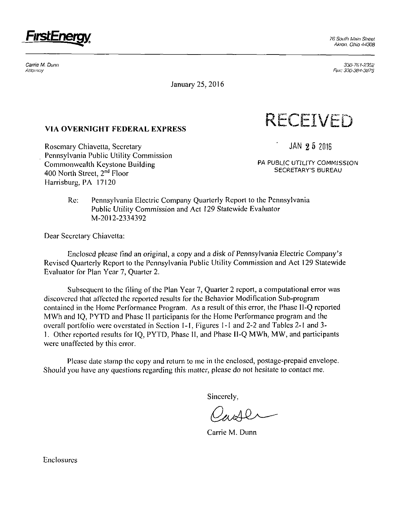

Carrie M. Dunn Attorney

*330-701-2352 Fun: 330-384-3875* 

January 25. 2016

## **VIA OVERNIGHT FEDERAL EXPRESS**

Rosemary Chiavetta, Secretary Pennsylvania Public Utility Commission Commonwealth Keystone Building 400 North Street, 2<sup>nd</sup> Floor Harrisburg, PA 17120

**RECEIVED** 

JAN 2 5 2016

PA PUBLIC UTILITY COMMISSION SECRETARY'S BUREAU

Re: Pennsylvania Electric Company Quarterly Report to the Pennsylvania Public Utility Commission and Act 129 Statewide Evaluator M-2012-2334392

Dear Secretary Chiavetta:

Enclosed please find an original, a copy and a disk of Pennsylvania Electric Company's Revised Quarterly Report to the Pennsylvania Public Utility Commission and Act 129 Statewide Evaluator for Plan Year 7, Quarter 2.

Subsequent to the filing of the Plan Year 7, Quarter 2 report, a computational error was discovered lhat affected the reported results for the Behavior Modification Sub-program contained in the Home Performance Program. As a result of this error, the Phase II-Q reported MWh and IQ, PYTD and Phase II participants for the Home Performance program and the overall portfolio were overstated in Section 1-1, Figures 1-1 and 2-2 and Tables 2-1 and 3- 1. Other reported results for IQ, PYTD, Phase II, and Phase II-Q MWh, MW, and participants were unaffected by this error.

Please date stamp the copy and return to me in the enclosed, postage-prepaid envelope. Should you have any questions regarding this matter, please do not hesitate to contact me.

Sincerely,

Carrie M. Dunn

Enclosures